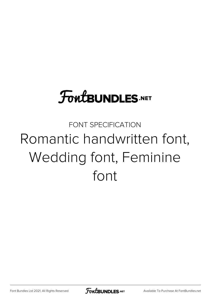## **FoutBUNDLES.NET**

## FONT SPECIFICATION Romantic handwritten font, Wedding font, Feminine font

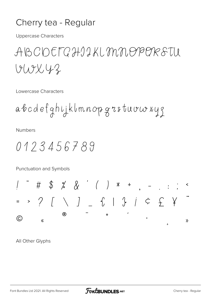## Cherry tea - Regular

**Uppercase Characters** 

ABCDEFGHIIKLMNOPORSTU  $VUVY2$ 

Lowercase Characters

**Numbers** 

Punctuation and Symbols

All Other Glyphs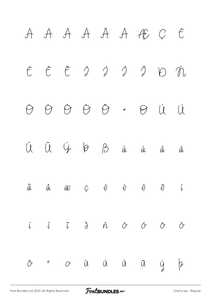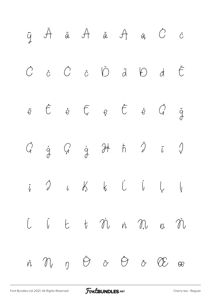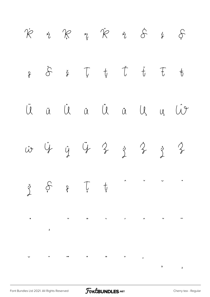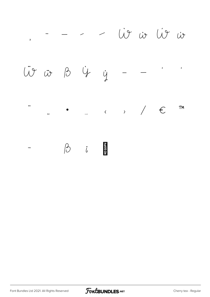- - - - iv iv iv iv  $\overline{\mathbf{5}}$ Lit is B 4 y  $\epsilon$  $\epsilon$  $,$  $\begin{array}{cccc} \leftarrow & \rightarrow & \end{array} \qquad \begin{array}{cccc} \leftarrow & \leftarrow & \leftarrow & \end{array}$ TM  $\frac{1}{2}$ ä. <u> भाषाका</u>  $\beta$  i  $\qquad \qquad -$ 

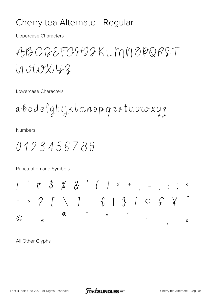## Cherry tea Alternate - Regular

**Uppercase Characters** 

ABCDEFGHIJKLMNØDRST  $UUVV42$ 

Lowercase Characters

**Numbers** 

Punctuation and Symbols

All Other Glyphs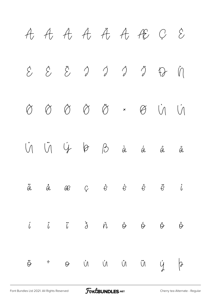

[Font Bundles Ltd 2021. All Rights Reserved](https://fontbundles.net/) **FoutBUNDLES.NET** [Cherry tea Alternate - Regular](https://fontbundles.net/)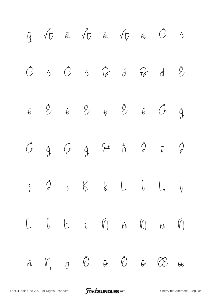

[Font Bundles Ltd 2021. All Rights Reserved](https://fontbundles.net/) **FoutBUNDLES.NET** [Cherry tea Alternate - Regular](https://fontbundles.net/)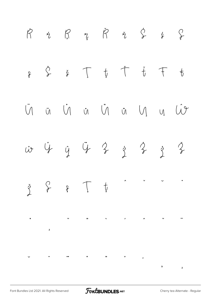